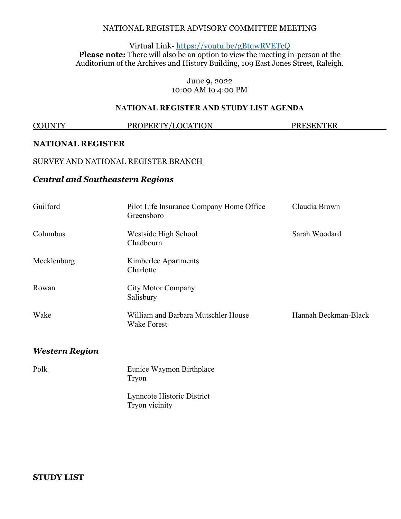## NATIONAL REGISTER ADVISORY COMMITTEE MEETING

Virtual Link- <https://youtu.be/gBtqwRVETcQ>

**Please note:** There will also be an option to view the meeting in-person at the Auditorium of the Archives and History Building, 109 East Jones Street, Raleigh.

> June 9, 2022 10:00 AM to 4:00 PM

## **NATIONAL REGISTER AND STUDY LIST AGENDA**

COUNTY PROPERTY/LOCATION \_\_\_\_ \_ PRESENTER **NATIONAL REGISTER** SURVEY AND NATIONAL REGISTER BRANCH *Central and Southeastern Regions* Guilford Pilot Life Insurance Company Home Office Claudia Brown Greensboro Columbus Westside High School Sarah Woodard Chadbourn Mecklenburg Kimberlee Apartments **Charlotte** Rowan City Motor Company Salisbury Wake William and Barbara Mutschler House Hannah Beckman-Black Wake Forest *Western Region*  Polk Eunice Waymon Birthplace Tryon Lynncote Historic District Tryon vicinity